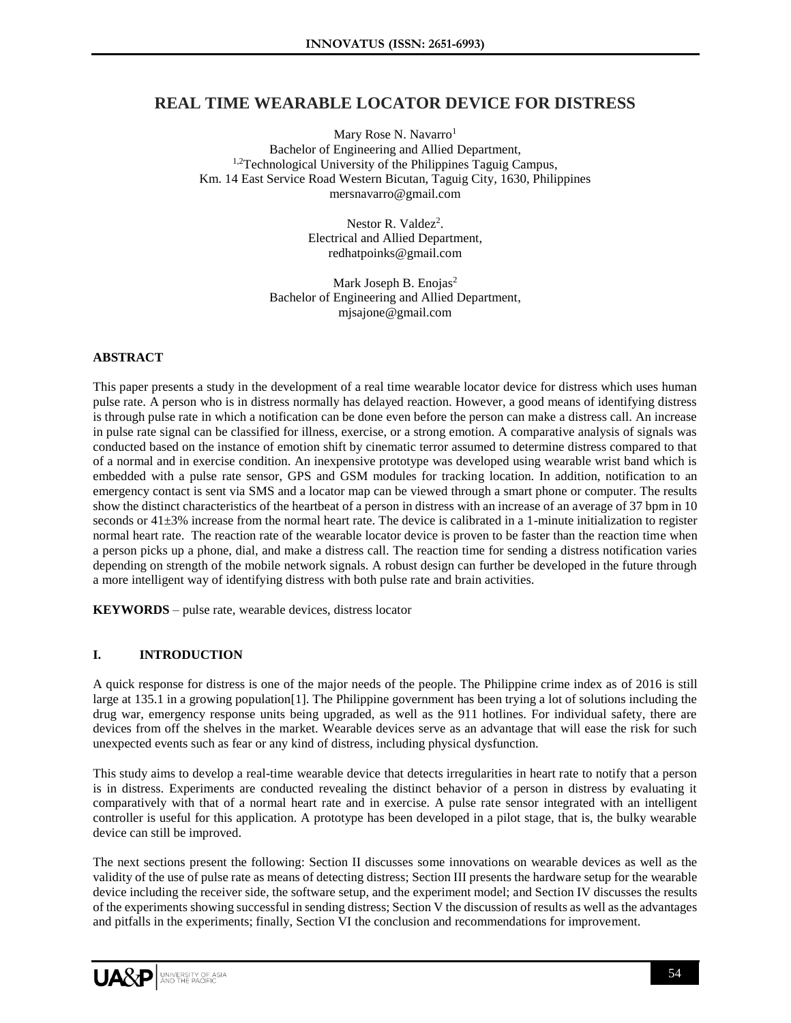# **REAL TIME WEARABLE LOCATOR DEVICE FOR DISTRESS**

Mary Rose N. Navarro<sup>1</sup> Bachelor of Engineering and Allied Department, <sup>1,2</sup>Technological University of the Philippines Taguig Campus, Km. 14 East Service Road Western Bicutan, Taguig City, 1630, Philippines mersnavarro@gmail.com

> Nestor R. Valdez<sup>2</sup>. Electrical and Allied Department, redhatpoinks@gmail.com

Mark Joseph B. Enojas<sup>2</sup> Bachelor of Engineering and Allied Department, mjsajone@gmail.com

### **ABSTRACT**

This paper presents a study in the development of a real time wearable locator device for distress which uses human pulse rate. A person who is in distress normally has delayed reaction. However, a good means of identifying distress is through pulse rate in which a notification can be done even before the person can make a distress call. An increase in pulse rate signal can be classified for illness, exercise, or a strong emotion. A comparative analysis of signals was conducted based on the instance of emotion shift by cinematic terror assumed to determine distress compared to that of a normal and in exercise condition. An inexpensive prototype was developed using wearable wrist band which is embedded with a pulse rate sensor, GPS and GSM modules for tracking location. In addition, notification to an emergency contact is sent via SMS and a locator map can be viewed through a smart phone or computer. The results show the distinct characteristics of the heartbeat of a person in distress with an increase of an average of 37 bpm in 10 seconds or  $41\pm3\%$  increase from the normal heart rate. The device is calibrated in a 1-minute initialization to register normal heart rate. The reaction rate of the wearable locator device is proven to be faster than the reaction time when a person picks up a phone, dial, and make a distress call. The reaction time for sending a distress notification varies depending on strength of the mobile network signals. A robust design can further be developed in the future through a more intelligent way of identifying distress with both pulse rate and brain activities.

**KEYWORDS** – pulse rate, wearable devices, distress locator

### **I. INTRODUCTION**

A quick response for distress is one of the major needs of the people. The Philippine crime index as of 2016 is still large at 135.1 in a growing population[1]. The Philippine government has been trying a lot of solutions including the drug war, emergency response units being upgraded, as well as the 911 hotlines. For individual safety, there are devices from off the shelves in the market. Wearable devices serve as an advantage that will ease the risk for such unexpected events such as fear or any kind of distress, including physical dysfunction.

This study aims to develop a real-time wearable device that detects irregularities in heart rate to notify that a person is in distress. Experiments are conducted revealing the distinct behavior of a person in distress by evaluating it comparatively with that of a normal heart rate and in exercise. A pulse rate sensor integrated with an intelligent controller is useful for this application. A prototype has been developed in a pilot stage, that is, the bulky wearable device can still be improved.

The next sections present the following: Section II discusses some innovations on wearable devices as well as the validity of the use of pulse rate as means of detecting distress; Section III presents the hardware setup for the wearable device including the receiver side, the software setup, and the experiment model; and Section IV discusses the results of the experiments showing successful in sending distress; Section V the discussion of results as well as the advantages and pitfalls in the experiments; finally, Section VI the conclusion and recommendations for improvement.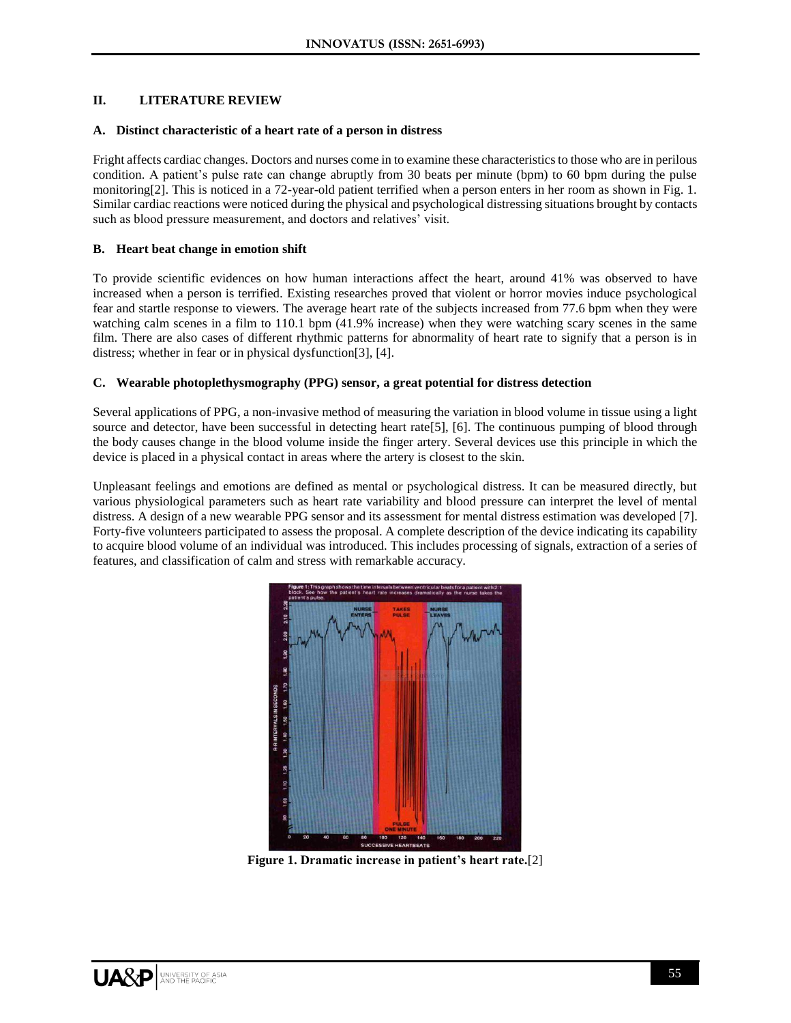### **II. LITERATURE REVIEW**

#### **A. Distinct characteristic of a heart rate of a person in distress**

Fright affects cardiac changes. Doctors and nurses come in to examine these characteristics to those who are in perilous condition. A patient's pulse rate can change abruptly from 30 beats per minute (bpm) to 60 bpm during the pulse monitoring[2]. This is noticed in a 72-year-old patient terrified when a person enters in her room as shown in Fig. 1. Similar cardiac reactions were noticed during the physical and psychological distressing situations brought by contacts such as blood pressure measurement, and doctors and relatives' visit.

### **B. Heart beat change in emotion shift**

To provide scientific evidences on how human interactions affect the heart, around 41% was observed to have increased when a person is terrified. Existing researches proved that violent or horror movies induce psychological fear and startle response to viewers. The average heart rate of the subjects increased from 77.6 bpm when they were watching calm scenes in a film to 110.1 bpm (41.9% increase) when they were watching scary scenes in the same film. There are also cases of different rhythmic patterns for abnormality of heart rate to signify that a person is in distress; whether in fear or in physical dysfunction[3], [4].

# **C. Wearable photoplethysmography (PPG) sensor, a great potential for distress detection**

Several applications of PPG, a non-invasive method of measuring the variation in blood volume in tissue using a light source and detector, have been successful in detecting heart rate[5], [6]. The continuous pumping of blood through the body causes change in the blood volume inside the finger artery. Several devices use this principle in which the device is placed in a physical contact in areas where the artery is closest to the skin.

Unpleasant feelings and emotions are defined as mental or psychological distress. It can be measured directly, but various physiological parameters such as heart rate variability and blood pressure can interpret the level of mental distress. A design of a new wearable PPG sensor and its assessment for mental distress estimation was developed [7]. Forty-five volunteers participated to assess the proposal. A complete description of the device indicating its capability to acquire blood volume of an individual was introduced. This includes processing of signals, extraction of a series of features, and classification of calm and stress with remarkable accuracy.



**Figure 1. Dramatic increase in patient's heart rate.**[2]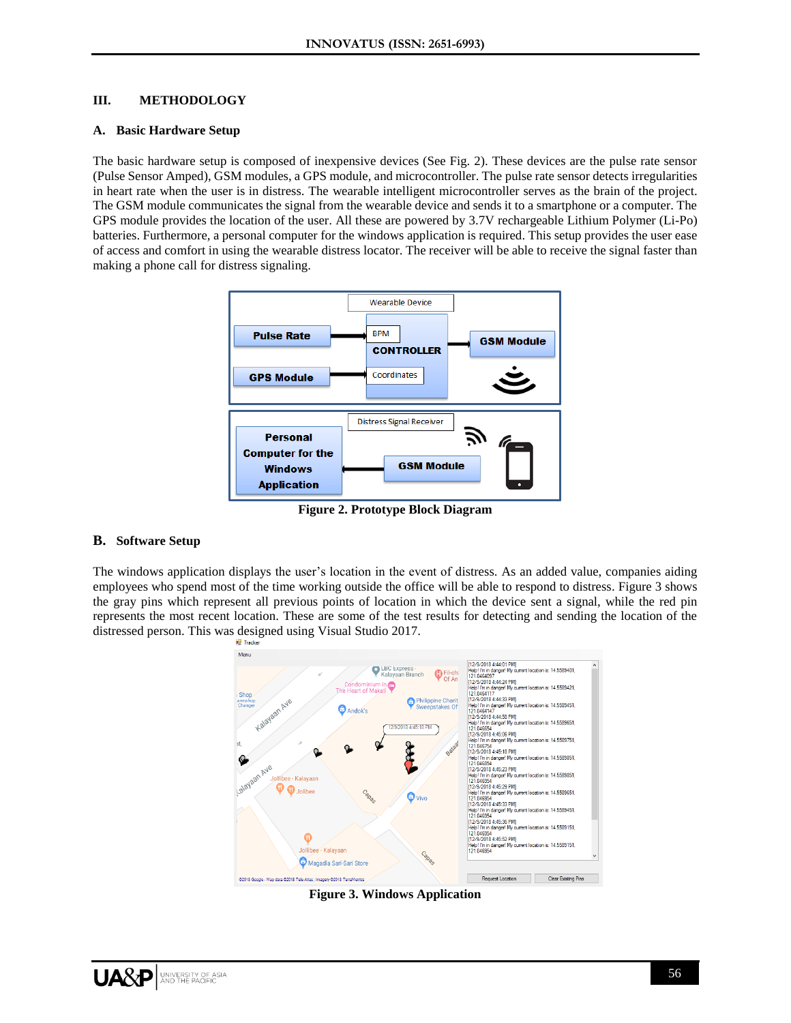## **III. METHODOLOGY**

#### **A. Basic Hardware Setup**

The basic hardware setup is composed of inexpensive devices (See Fig. 2). These devices are the pulse rate sensor (Pulse Sensor Amped), GSM modules, a GPS module, and microcontroller. The pulse rate sensor detects irregularities in heart rate when the user is in distress. The wearable intelligent microcontroller serves as the brain of the project. The GSM module communicates the signal from the wearable device and sends it to a smartphone or a computer. The GPS module provides the location of the user. All these are powered by 3.7V rechargeable Lithium Polymer (Li-Po) batteries. Furthermore, a personal computer for the windows application is required. This setup provides the user ease of access and comfort in using the wearable distress locator. The receiver will be able to receive the signal faster than making a phone call for distress signaling.



**Figure 2. Prototype Block Diagram**

### **B. Software Setup**

The windows application displays the user's location in the event of distress. As an added value, companies aiding employees who spend most of the time working outside the office will be able to respond to distress. Figure 3 shows the gray pins which represent all previous points of location in which the device sent a signal, while the red pin represents the most recent location. These are some of the test results for detecting and sending the location of the distressed person. This was designed using Visual Studio 2017.



**Figure 3. Windows Application**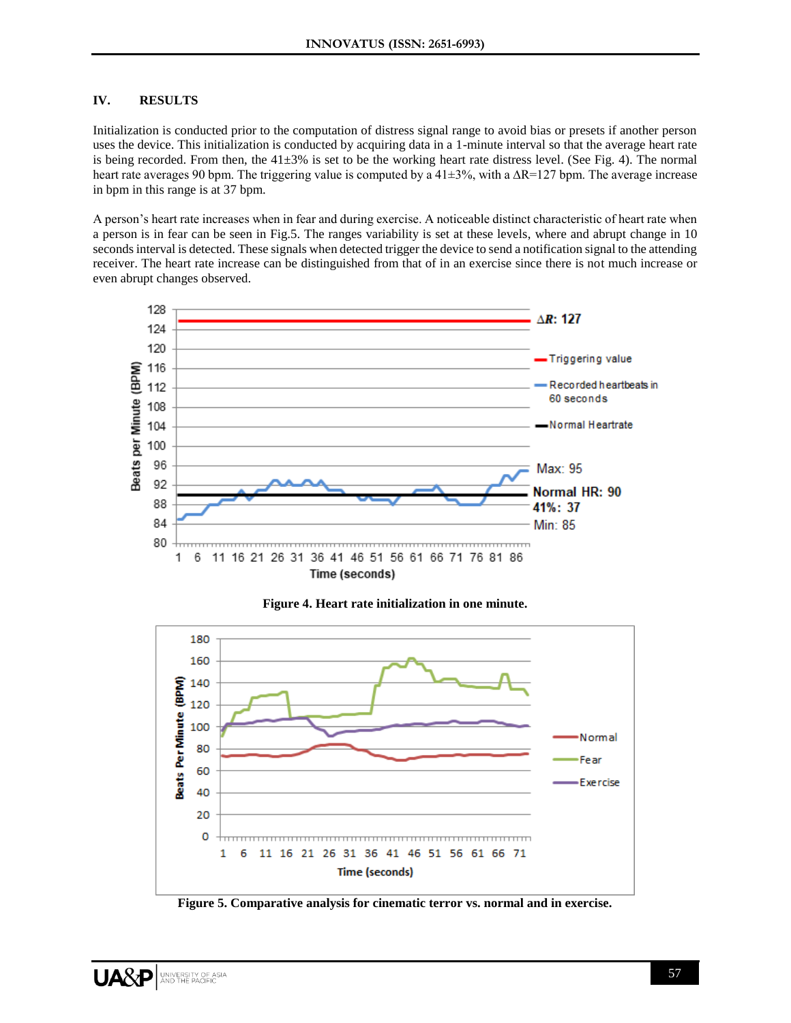# **IV. RESULTS**

Initialization is conducted prior to the computation of distress signal range to avoid bias or presets if another person uses the device. This initialization is conducted by acquiring data in a 1-minute interval so that the average heart rate is being recorded. From then, the  $41\pm3\%$  is set to be the working heart rate distress level. (See Fig. 4). The normal heart rate averages 90 bpm. The triggering value is computed by a 41±3%, with a ∆R=127 bpm. The average increase in bpm in this range is at 37 bpm.

A person's heart rate increases when in fear and during exercise. A noticeable distinct characteristic of heart rate when a person is in fear can be seen in Fig.5. The ranges variability is set at these levels, where and abrupt change in 10 seconds interval is detected. These signals when detected trigger the device to send a notification signal to the attending receiver. The heart rate increase can be distinguished from that of in an exercise since there is not much increase or even abrupt changes observed.





**Figure 4. Heart rate initialization in one minute.**

**Figure 5. Comparative analysis for cinematic terror vs. normal and in exercise.**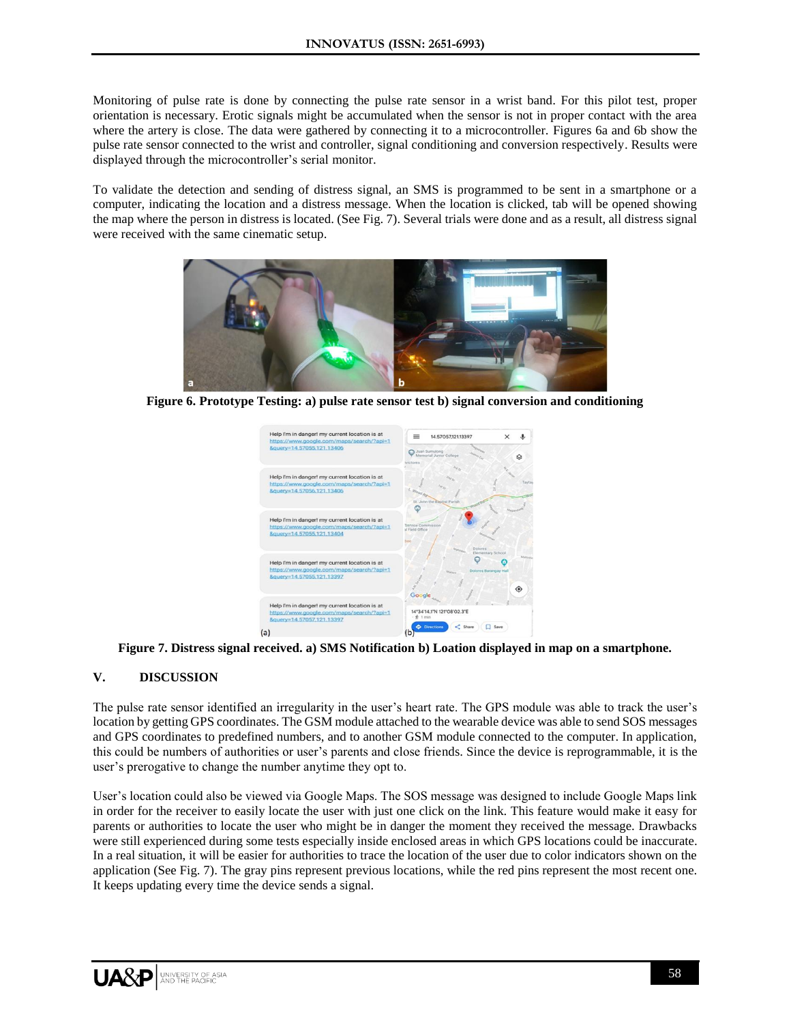Monitoring of pulse rate is done by connecting the pulse rate sensor in a wrist band. For this pilot test, proper orientation is necessary. Erotic signals might be accumulated when the sensor is not in proper contact with the area where the artery is close. The data were gathered by connecting it to a microcontroller. Figures 6a and 6b show the pulse rate sensor connected to the wrist and controller, signal conditioning and conversion respectively. Results were displayed through the microcontroller's serial monitor.

To validate the detection and sending of distress signal, an SMS is programmed to be sent in a smartphone or a computer, indicating the location and a distress message. When the location is clicked, tab will be opened showing the map where the person in distress is located. (See Fig. 7). Several trials were done and as a result, all distress signal were received with the same cinematic setup.



**Figure 6. Prototype Testing: a) pulse rate sensor test b) signal conversion and conditioning**



**Figure 7. Distress signal received. a) SMS Notification b) Loation displayed in map on a smartphone.**

# **V. DISCUSSION**

The pulse rate sensor identified an irregularity in the user's heart rate. The GPS module was able to track the user's location by getting GPS coordinates. The GSM module attached to the wearable device was able to send SOS messages and GPS coordinates to predefined numbers, and to another GSM module connected to the computer. In application, this could be numbers of authorities or user's parents and close friends. Since the device is reprogrammable, it is the user's prerogative to change the number anytime they opt to.

User's location could also be viewed via Google Maps. The SOS message was designed to include Google Maps link in order for the receiver to easily locate the user with just one click on the link. This feature would make it easy for parents or authorities to locate the user who might be in danger the moment they received the message. Drawbacks were still experienced during some tests especially inside enclosed areas in which GPS locations could be inaccurate. In a real situation, it will be easier for authorities to trace the location of the user due to color indicators shown on the application (See Fig. 7). The gray pins represent previous locations, while the red pins represent the most recent one. It keeps updating every time the device sends a signal.